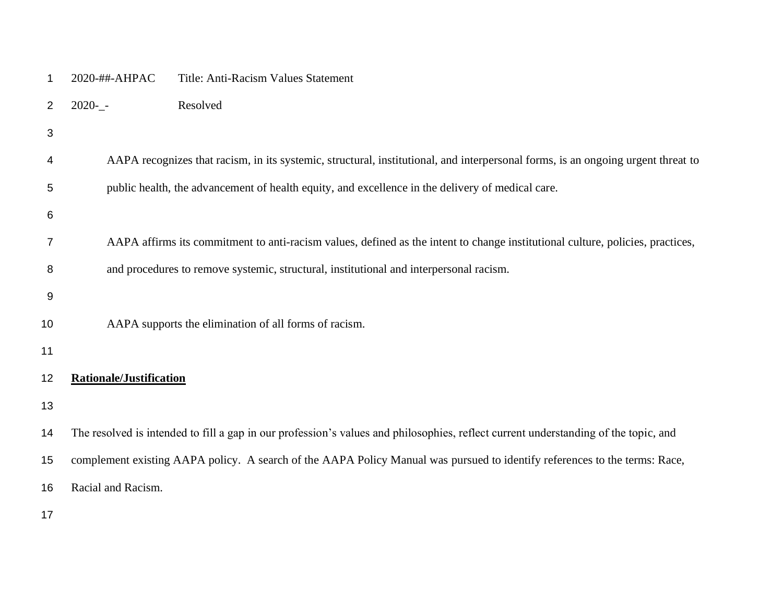| Title: Anti-Racism Values Statement |  |  | 2020-##-AHPAC |  |
|-------------------------------------|--|--|---------------|--|
|-------------------------------------|--|--|---------------|--|

- 2020-\_- Resolved
- 
- AAPA recognizes that racism, in its systemic, structural, institutional, and interpersonal forms, is an ongoing urgent threat to public health, the advancement of health equity, and excellence in the delivery of medical care.
- 
- AAPA affirms its commitment to anti-racism values, defined as the intent to change institutional culture, policies, practices,
- and procedures to remove systemic, structural, institutional and interpersonal racism.
- 
- 

AAPA supports the elimination of all forms of racism.

# **Rationale/Justification**

The resolved is intended to fill a gap in our profession's values and philosophies, reflect current understanding of the topic, and

complement existing AAPA policy. A search of the AAPA Policy Manual was pursued to identify references to the terms: Race,

Racial and Racism.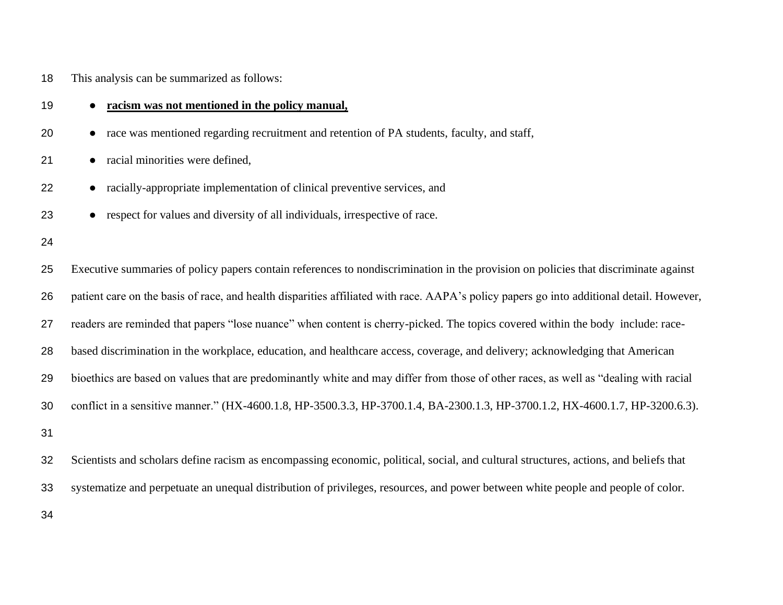# This analysis can be summarized as follows:

| 19 | racism was not mentioned in the policy manual,<br>$\bullet$                                                                              |
|----|------------------------------------------------------------------------------------------------------------------------------------------|
| 20 | race was mentioned regarding recruitment and retention of PA students, faculty, and staff,<br>$\bullet$                                  |
| 21 | • racial minorities were defined,                                                                                                        |
| 22 | racially-appropriate implementation of clinical preventive services, and<br>$\bullet$                                                    |
| 23 | • respect for values and diversity of all individuals, irrespective of race.                                                             |
| 24 |                                                                                                                                          |
| 25 | Executive summaries of policy papers contain references to nondiscrimination in the provision on policies that discriminate against      |
| 26 | patient care on the basis of race, and health disparities affiliated with race. AAPA's policy papers go into additional detail. However, |
| 27 | readers are reminded that papers "lose nuance" when content is cherry-picked. The topics covered within the body include: race-          |
| 28 | based discrimination in the workplace, education, and healthcare access, coverage, and delivery; acknowledging that American             |
| 29 | bioethics are based on values that are predominantly white and may differ from those of other races, as well as "dealing with racial     |
| 30 | conflict in a sensitive manner." (HX-4600.1.8, HP-3500.3.3, HP-3700.1.4, BA-2300.1.3, HP-3700.1.2, HX-4600.1.7, HP-3200.6.3).            |
| 31 |                                                                                                                                          |
| 32 | Scientists and scholars define racism as encompassing economic, political, social, and cultural structures, actions, and beliefs that    |
| 33 | systematize and perpetuate an unequal distribution of privileges, resources, and power between white people and people of color.         |
|    |                                                                                                                                          |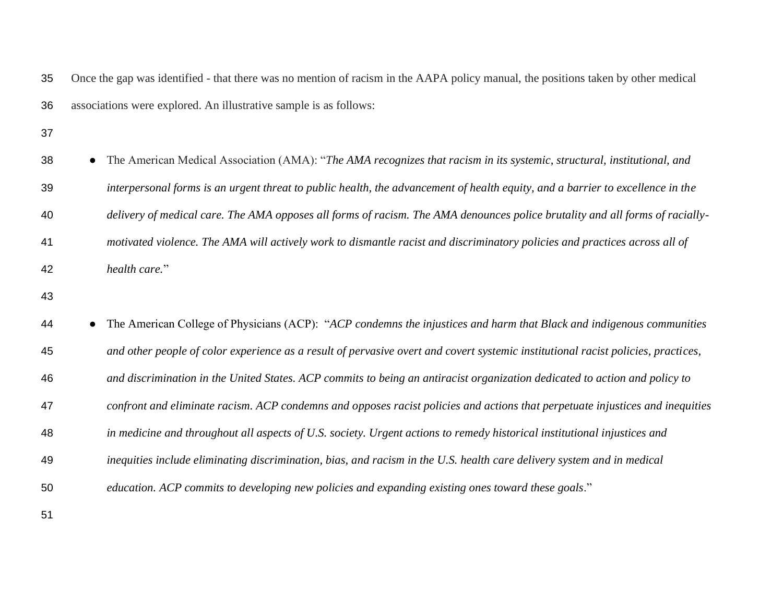Once the gap was identified - that there was no mention of racism in the AAPA policy manual, the positions taken by other medical associations were explored. An illustrative sample is as follows: 38 • The American Medical Association (AMA): "*The AMA recognizes that racism in its systemic, structural, institutional, and interpersonal forms is an urgent threat to public health, the advancement of health equity, and a barrier to excellence in the delivery of medical care. The AMA opposes all forms of racism. The AMA denounces police brutality and all forms of racially- motivated violence. The AMA will actively work to dismantle racist and discriminatory policies and practices across all of health care.*" ● The American College of Physicians (ACP): "*ACP condemns the injustices and harm that Black and indigenous communities and other people of color experience as a result of pervasive overt and covert systemic institutional racist policies, practices, and discrimination in the United States. ACP commits to being an antiracist organization dedicated to action and policy to confront and eliminate racism. ACP condemns and opposes racist policies and actions that perpetuate injustices and inequities in medicine and throughout all aspects of U.S. society. Urgent actions to remedy historical institutional injustices and inequities include eliminating discrimination, bias, and racism in the U.S. health care delivery system and in medical education. ACP commits to developing new policies and expanding existing ones toward these goals*."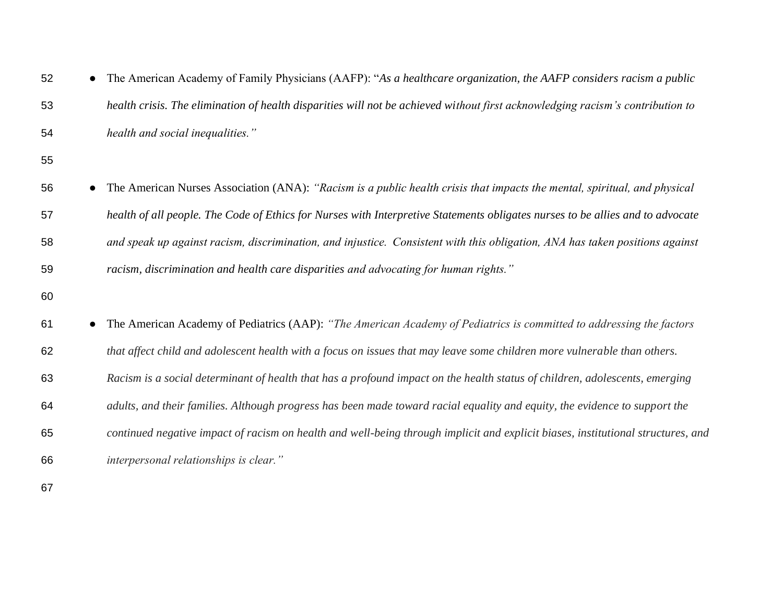| 52 | The American Academy of Family Physicians (AAFP): "As a healthcare organization, the AAFP considers racism a public              |
|----|----------------------------------------------------------------------------------------------------------------------------------|
| 53 | health crisis. The elimination of health disparities will not be achieved without first acknowledging racism's contribution to   |
| 54 | health and social inequalities."                                                                                                 |
| 55 |                                                                                                                                  |
| 56 | The American Nurses Association (ANA): "Racism is a public health crisis that impacts the mental, spiritual, and physical        |
| 57 | health of all people. The Code of Ethics for Nurses with Interpretive Statements obligates nurses to be allies and to advocate   |
| 58 | and speak up against racism, discrimination, and injustice. Consistent with this obligation, ANA has taken positions against     |
| 59 | racism, discrimination and health care disparities and advocating for human rights."                                             |
| 60 |                                                                                                                                  |
| 61 | The American Academy of Pediatrics (AAP): "The American Academy of Pediatrics is committed to addressing the factors             |
| 62 | that affect child and adolescent health with a focus on issues that may leave some children more vulnerable than others.         |
| 63 | Racism is a social determinant of health that has a profound impact on the health status of children, adolescents, emerging      |
| 64 | adults, and their families. Although progress has been made toward racial equality and equity, the evidence to support the       |
| 65 | continued negative impact of racism on health and well-being through implicit and explicit biases, institutional structures, and |
| 66 | interpersonal relationships is clear."                                                                                           |
| 67 |                                                                                                                                  |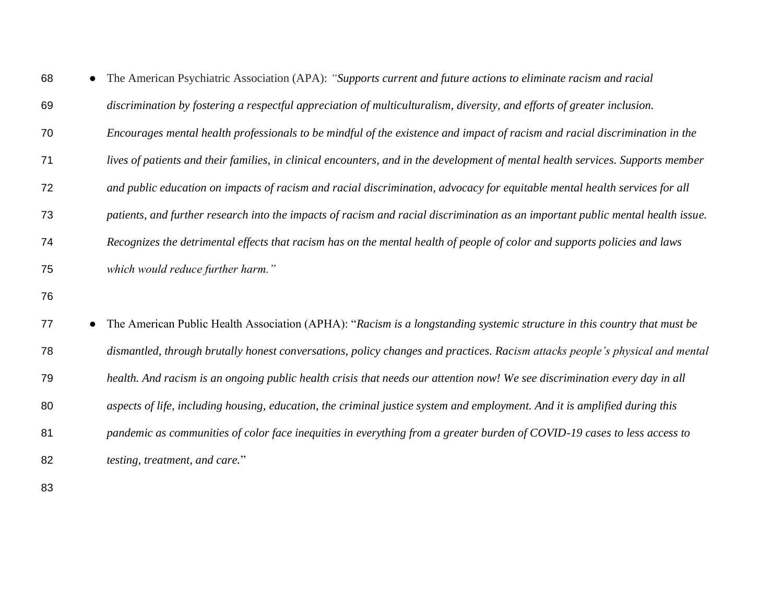| 68 | The American Psychiatric Association (APA): "Supports current and future actions to eliminate racism and racial                 |
|----|---------------------------------------------------------------------------------------------------------------------------------|
| 69 | discrimination by fostering a respectful appreciation of multiculturalism, diversity, and efforts of greater inclusion.         |
| 70 | Encourages mental health professionals to be mindful of the existence and impact of racism and racial discrimination in the     |
| 71 | lives of patients and their families, in clinical encounters, and in the development of mental health services. Supports member |
| 72 | and public education on impacts of racism and racial discrimination, advocacy for equitable mental health services for all      |
| 73 | patients, and further research into the impacts of racism and racial discrimination as an important public mental health issue. |
| 74 | Recognizes the detrimental effects that racism has on the mental health of people of color and supports policies and laws       |
| 75 | which would reduce further harm."                                                                                               |
| 76 |                                                                                                                                 |
| 77 | The American Public Health Association (APHA): "Racism is a longstanding systemic structure in this country that must be        |
| 78 | dismantled, through brutally honest conversations, policy changes and practices. Racism attacks people's physical and mental    |
| 79 | health. And racism is an ongoing public health crisis that needs our attention now! We see discrimination every day in all      |
| 80 | aspects of life, including housing, education, the criminal justice system and employment. And it is amplified during this      |
| 81 | pandemic as communities of color face inequities in everything from a greater burden of COVID-19 cases to less access to        |
| 82 | testing, treatment, and care."                                                                                                  |
|    |                                                                                                                                 |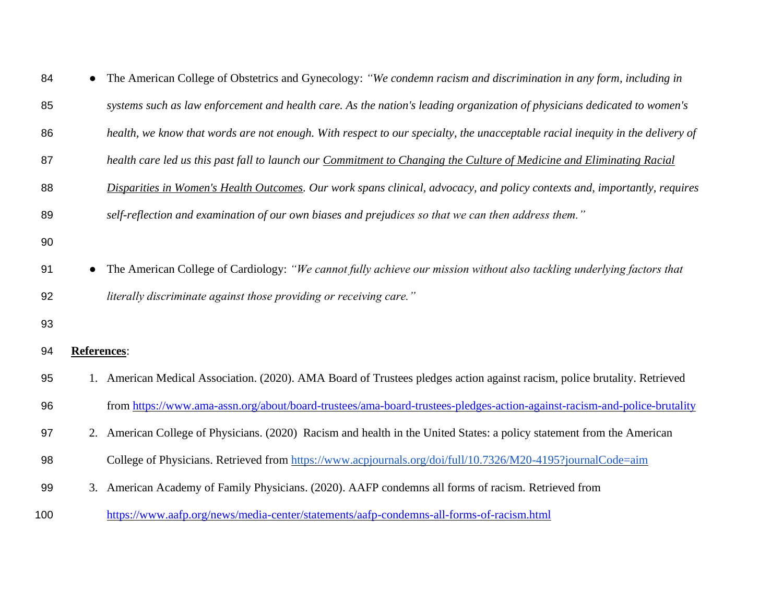| 84  |                    | The American College of Obstetrics and Gynecology: "We condemn racism and discrimination in any form, including in            |
|-----|--------------------|-------------------------------------------------------------------------------------------------------------------------------|
| 85  |                    | systems such as law enforcement and health care. As the nation's leading organization of physicians dedicated to women's      |
| 86  |                    | health, we know that words are not enough. With respect to our specialty, the unacceptable racial inequity in the delivery of |
| 87  |                    | health care led us this past fall to launch our Commitment to Changing the Culture of Medicine and Eliminating Racial         |
| 88  |                    | Disparities in Women's Health Outcomes. Our work spans clinical, advocacy, and policy contexts and, importantly, requires     |
| 89  |                    | self-reflection and examination of our own biases and prejudices so that we can then address them."                           |
| 90  |                    |                                                                                                                               |
| 91  |                    | The American College of Cardiology: "We cannot fully achieve our mission without also tackling underlying factors that        |
| 92  |                    | literally discriminate against those providing or receiving care."                                                            |
| 93  |                    |                                                                                                                               |
| 94  | <b>References:</b> |                                                                                                                               |
| 95  |                    | 1. American Medical Association. (2020). AMA Board of Trustees pledges action against racism, police brutality. Retrieved     |
| 96  |                    | from https://www.ama-assn.org/about/board-trustees/ama-board-trustees-pledges-action-against-racism-and-police-brutality      |
| 97  |                    | 2. American College of Physicians. (2020) Racism and health in the United States: a policy statement from the American        |
| 98  |                    | College of Physicians. Retrieved from https://www.acpjournals.org/doi/full/10.7326/M20-4195?journalCode=aim                   |
| 99  |                    | 3. American Academy of Family Physicians. (2020). AAFP condemns all forms of racism. Retrieved from                           |
| 100 |                    | https://www.aafp.org/news/media-center/statements/aafp-condemns-all-forms-of-racism.html                                      |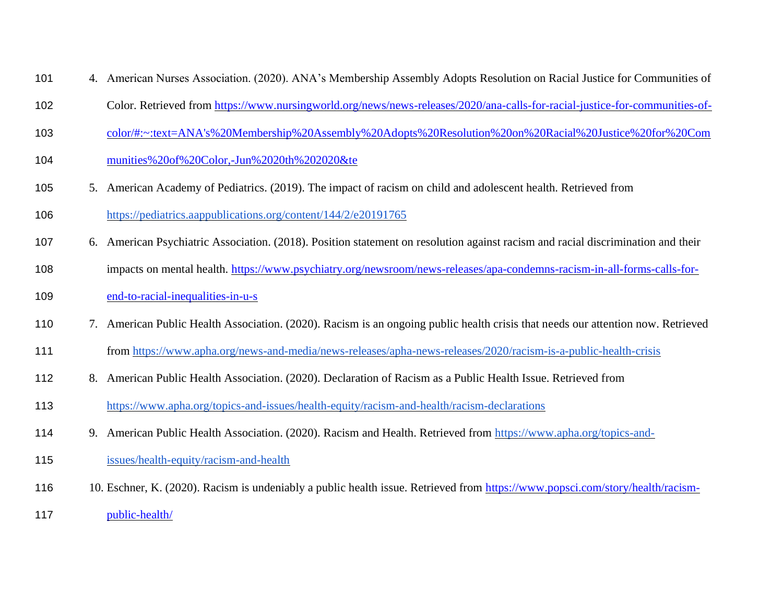- 4. American Nurses Association. (2020). ANA's Membership Assembly Adopts Resolution on Racial Justice for Communities of
- Color. Retrieved from [https://www.nursingworld.org/news/news-releases/2020/ana-calls-for-racial-justice-for-communities-of-](https://www.nursingworld.org/news/news-releases/2020/ana-calls-for-racial-justice-for-communities-of-color/#:~:text=ANA)
- [color/#:~:text=ANA's%20Membership%20Assembly%20Adopts%20Resolution%20on%20Racial%20Justice%20for%20Com](https://www.nursingworld.org/news/news-releases/2020/ana-calls-for-racial-justice-for-communities-of-color/#:~:text=ANA)
- [munities%20of%20Color,-Jun%2020th%202020&te](https://www.nursingworld.org/news/news-releases/2020/ana-calls-for-racial-justice-for-communities-of-color/#:~:text=ANA)
- 5. American Academy of Pediatrics. (2019). The impact of racism on child and adolescent health. Retrieved from
- <https://pediatrics.aappublications.org/content/144/2/e20191765>
- 6. American Psychiatric Association. (2018). Position statement on resolution against racism and racial discrimination and their
- impacts on mental health. [https://www.psychiatry.org/newsroom/news-releases/apa-condemns-racism-in-all-forms-calls-for-](https://www.psychiatry.org/newsroom/news-releases/apa-condemns-racism-in-all-forms-calls-for-end-to-racial-inequalities-in-u-s)
- [end-to-racial-inequalities-in-u-s](https://www.psychiatry.org/newsroom/news-releases/apa-condemns-racism-in-all-forms-calls-for-end-to-racial-inequalities-in-u-s)
- 7. American Public Health Association. (2020). Racism is an ongoing public health crisis that needs our attention now. Retrieved
- from<https://www.apha.org/news-and-media/news-releases/apha-news-releases/2020/racism-is-a-public-health-crisis>
- 8. American Public Health Association. (2020). Declaration of Racism as a Public Health Issue. Retrieved from
- <https://www.apha.org/topics-and-issues/health-equity/racism-and-health/racism-declarations>
- 9. American Public Health Association. (2020). Racism and Health. Retrieved from [https://www.apha.org/topics-and-](https://www.apha.org/topics-and-issues/health-equity/racism-and-health)
- [issues/health-equity/racism-and-health](https://www.apha.org/topics-and-issues/health-equity/racism-and-health)
- 10. Eschner, K. (2020). Racism is undeniably a public health issue. Retrieved from [https://www.popsci.com/story/health/racism-](https://www.popsci.com/story/health/racism-public-health/)
- [public-health/](https://www.popsci.com/story/health/racism-public-health/)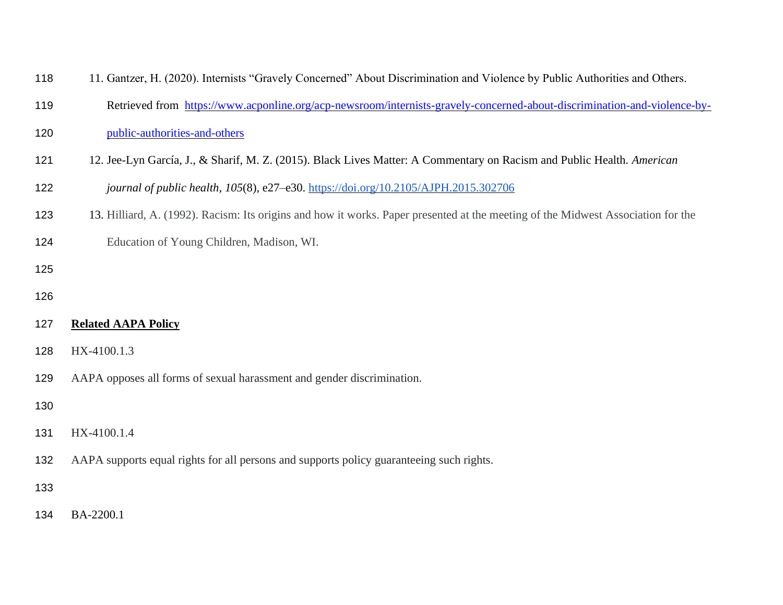| 118 | 11. Gantzer, H. (2020). Internists "Gravely Concerned" About Discrimination and Violence by Public Authorities and Others.       |
|-----|----------------------------------------------------------------------------------------------------------------------------------|
| 119 | Retrieved from https://www.acponline.org/acp-newsroom/internists-gravely-concerned-about-discrimination-and-violence-by-         |
| 120 | public-authorities-and-others                                                                                                    |
| 121 | 12. Jee-Lyn García, J., & Sharif, M. Z. (2015). Black Lives Matter: A Commentary on Racism and Public Health. American           |
| 122 | journal of public health, 105(8), e27-e30. https://doi.org/10.2105/AJPH.2015.302706                                              |
| 123 | 13. Hilliard, A. (1992). Racism: Its origins and how it works. Paper presented at the meeting of the Midwest Association for the |
| 124 | Education of Young Children, Madison, WI.                                                                                        |
| 125 |                                                                                                                                  |
| 126 |                                                                                                                                  |
| 127 | <b>Related AAPA Policy</b>                                                                                                       |
| 128 | HX-4100.1.3                                                                                                                      |
| 129 | AAPA opposes all forms of sexual harassment and gender discrimination.                                                           |
| 130 |                                                                                                                                  |
| 131 | HX-4100.1.4                                                                                                                      |
| 132 | AAPA supports equal rights for all persons and supports policy guaranteeing such rights.                                         |
| 133 |                                                                                                                                  |
| 134 | BA-2200.1                                                                                                                        |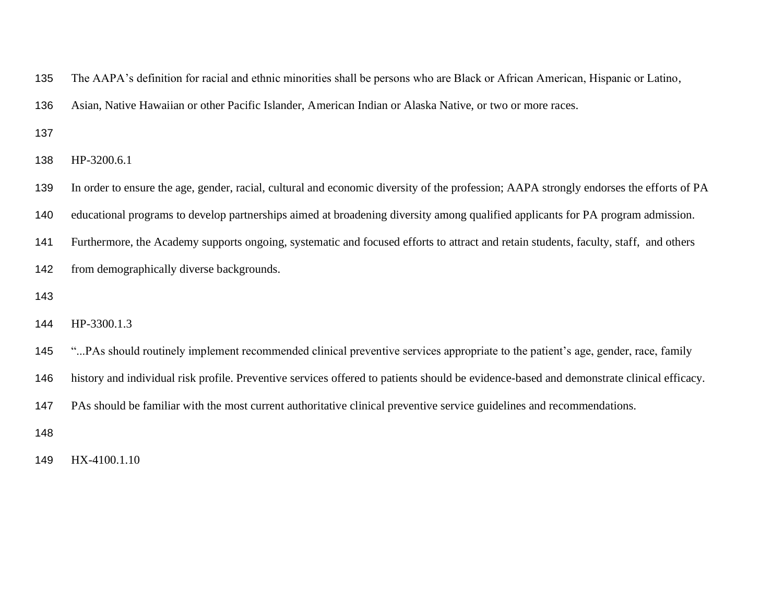The AAPA's definition for racial and ethnic minorities shall be persons who are Black or African American, Hispanic or Latino,

Asian, Native Hawaiian or other Pacific Islander, American Indian or Alaska Native, or two or more races.

HP-3200.6.1

In order to ensure the age, gender, racial, cultural and economic diversity of the profession; AAPA strongly endorses the efforts of PA

educational programs to develop partnerships aimed at broadening diversity among qualified applicants for PA program admission.

Furthermore, the Academy supports ongoing, systematic and focused efforts to attract and retain students, faculty, staff, and others

- from demographically diverse backgrounds.
- 

HP-3300.1.3

- "...PAs should routinely implement recommended clinical preventive services appropriate to the patient's age, gender, race, family
- history and individual risk profile. Preventive services offered to patients should be evidence-based and demonstrate clinical efficacy.

PAs should be familiar with the most current authoritative clinical preventive service guidelines and recommendations.

HX-4100.1.10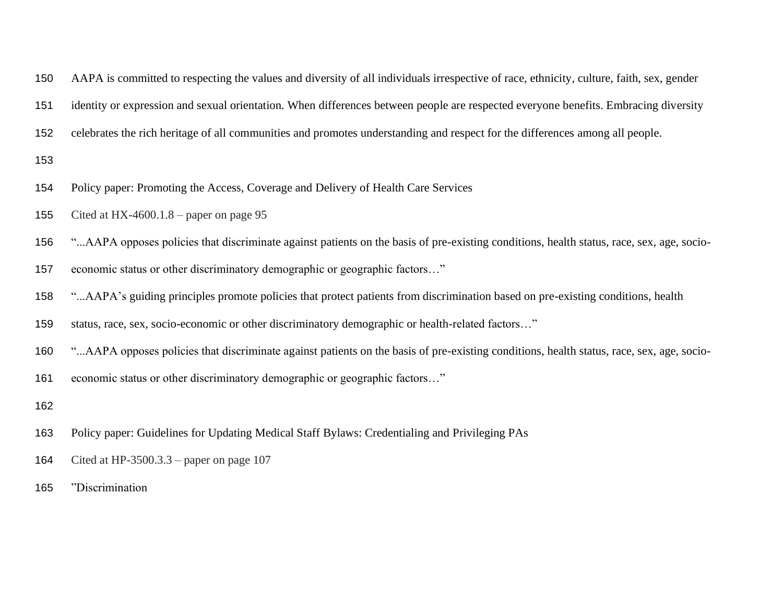- AAPA is committed to respecting the values and diversity of all individuals irrespective of race, ethnicity, culture, faith, sex, gender
- identity or expression and sexual orientation. When differences between people are respected everyone benefits. Embracing diversity
- celebrates the rich heritage of all communities and promotes understanding and respect for the differences among all people.
- 
- Policy paper: Promoting the Access, Coverage and Delivery of Health Care Services
- 155 Cited at HX-4600.1.8 paper on page 95
- "...AAPA opposes policies that discriminate against patients on the basis of pre-existing conditions, health status, race, sex, age, socio-
- economic status or other discriminatory demographic or geographic factors…"
- "...AAPA's guiding principles promote policies that protect patients from discrimination based on pre-existing conditions, health
- status, race, sex, socio-economic or other discriminatory demographic or health-related factors…"
- "...AAPA opposes policies that discriminate against patients on the basis of pre-existing conditions, health status, race, sex, age, socio-
- economic status or other discriminatory demographic or geographic factors…"
- 
- Policy paper: Guidelines for Updating Medical Staff Bylaws: Credentialing and Privileging PAs
- Cited at HP-3500.3.3 paper on page 107
- "Discrimination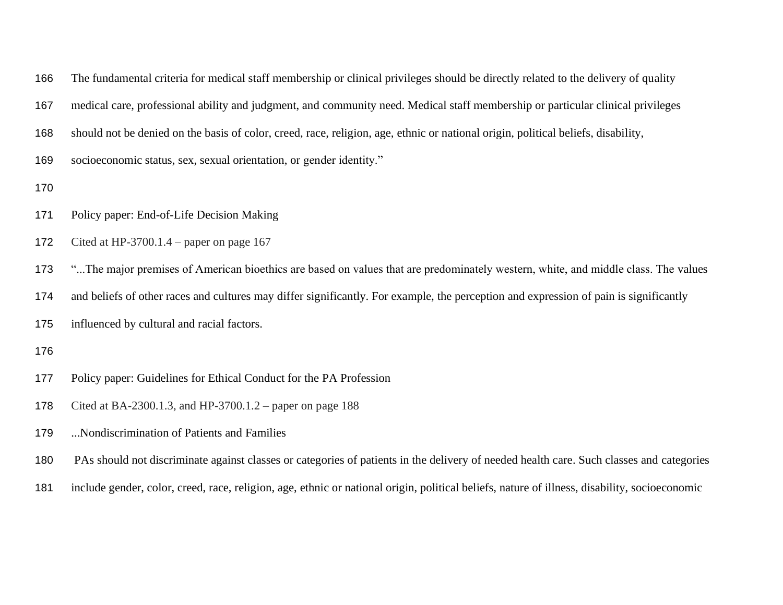|  |  |  |  |  |  |  | 166 The fundamental criteria for medical staff membership or clinical privileges should be directly related to the delivery of quality |
|--|--|--|--|--|--|--|----------------------------------------------------------------------------------------------------------------------------------------|
|--|--|--|--|--|--|--|----------------------------------------------------------------------------------------------------------------------------------------|

medical care, professional ability and judgment, and community need. Medical staff membership or particular clinical privileges

- should not be denied on the basis of color, creed, race, religion, age, ethnic or national origin, political beliefs, disability,
- socioeconomic status, sex, sexual orientation, or gender identity."
- 
- Policy paper: End-of-Life Decision Making
- Cited at HP-3700.1.4 paper on page 167
- 173 "...The major premises of American bioethics are based on values that are predominately western, white, and middle class. The values
- and beliefs of other races and cultures may differ significantly. For example, the perception and expression of pain is significantly
- influenced by cultural and racial factors.
- 
- Policy paper: Guidelines for Ethical Conduct for the PA Profession
- Cited at BA-2300.1.3, and HP-3700.1.2 paper on page 188
- ...Nondiscrimination of Patients and Families
- PAs should not discriminate against classes or categories of patients in the delivery of needed health care. Such classes and categories
- include gender, color, creed, race, religion, age, ethnic or national origin, political beliefs, nature of illness, disability, socioeconomic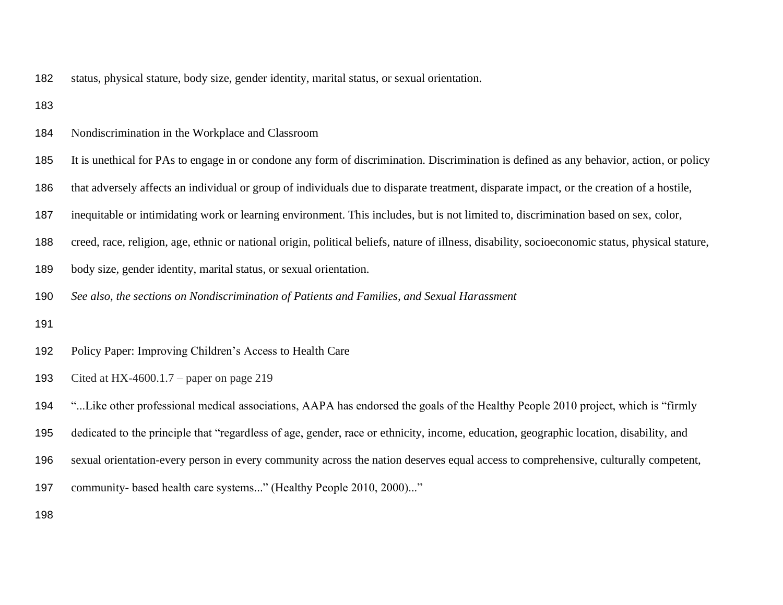- status, physical stature, body size, gender identity, marital status, or sexual orientation.
- 
- Nondiscrimination in the Workplace and Classroom
- It is unethical for PAs to engage in or condone any form of discrimination. Discrimination is defined as any behavior, action, or policy
- that adversely affects an individual or group of individuals due to disparate treatment, disparate impact, or the creation of a hostile,
- inequitable or intimidating work or learning environment. This includes, but is not limited to, discrimination based on sex, color,
- creed, race, religion, age, ethnic or national origin, political beliefs, nature of illness, disability, socioeconomic status, physical stature,
- body size, gender identity, marital status, or sexual orientation.
- *See also, the sections on Nondiscrimination of Patients and Families, and Sexual Harassment*
- 
- Policy Paper: Improving Children's Access to Health Care
- Cited at HX-4600.1.7 paper on page 219
- "...Like other professional medical associations, AAPA has endorsed the goals of the Healthy People 2010 project, which is "firmly
- dedicated to the principle that "regardless of age, gender, race or ethnicity, income, education, geographic location, disability, and
- sexual orientation-every person in every community across the nation deserves equal access to comprehensive, culturally competent,
- 197 community- based health care systems..." (Healthy People 2010, 2000)..."
-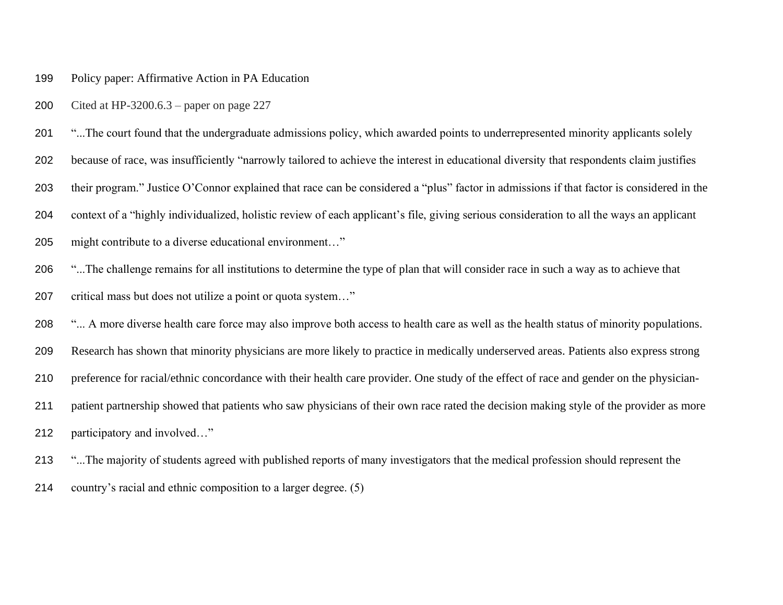## Policy paper: Affirmative Action in PA Education

Cited at HP-3200.6.3 – paper on page 227

201 "...The court found that the undergraduate admissions policy, which awarded points to underrepresented minority applicants solely

because of race, was insufficiently "narrowly tailored to achieve the interest in educational diversity that respondents claim justifies

their program." Justice O'Connor explained that race can be considered a "plus" factor in admissions if that factor is considered in the

context of a "highly individualized, holistic review of each applicant's file, giving serious consideration to all the ways an applicant

### might contribute to a diverse educational environment…"

"...The challenge remains for all institutions to determine the type of plan that will consider race in such a way as to achieve that

# critical mass but does not utilize a point or quota system…"

208 "... A more diverse health care force may also improve both access to health care as well as the health status of minority populations.

Research has shown that minority physicians are more likely to practice in medically underserved areas. Patients also express strong

preference for racial/ethnic concordance with their health care provider. One study of the effect of race and gender on the physician-

patient partnership showed that patients who saw physicians of their own race rated the decision making style of the provider as more

participatory and involved…"

"...The majority of students agreed with published reports of many investigators that the medical profession should represent the

country's racial and ethnic composition to a larger degree. (5)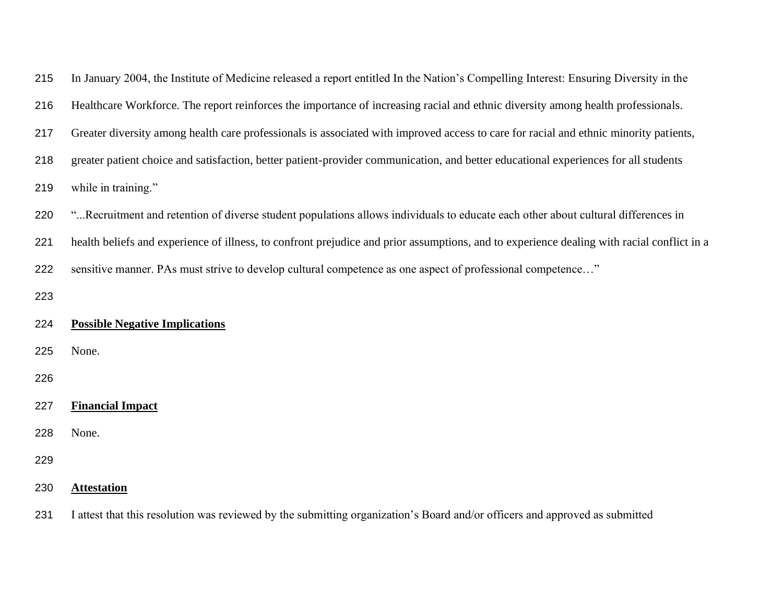| 215 | In January 2004, the Institute of Medicine released a report entitled In the Nation's Compelling Interest: Ensuring Diversity in the       |
|-----|--------------------------------------------------------------------------------------------------------------------------------------------|
| 216 | Healthcare Workforce. The report reinforces the importance of increasing racial and ethnic diversity among health professionals.           |
| 217 | Greater diversity among health care professionals is associated with improved access to care for racial and ethnic minority patients,      |
| 218 | greater patient choice and satisfaction, better patient-provider communication, and better educational experiences for all students        |
| 219 | while in training."                                                                                                                        |
| 220 | "Recruitment and retention of diverse student populations allows individuals to educate each other about cultural differences in           |
| 221 | health beliefs and experience of illness, to confront prejudice and prior assumptions, and to experience dealing with racial conflict in a |
| 222 | sensitive manner. PAs must strive to develop cultural competence as one aspect of professional competence"                                 |
| 223 |                                                                                                                                            |
| 224 | <b>Possible Negative Implications</b>                                                                                                      |
| 225 | None.                                                                                                                                      |
| 226 |                                                                                                                                            |
| 227 | <b>Financial Impact</b>                                                                                                                    |
| 228 | None.                                                                                                                                      |
| 229 |                                                                                                                                            |
| 230 | <b>Attestation</b>                                                                                                                         |
| 231 | I attest that this resolution was reviewed by the submitting organization's Board and/or officers and approved as submitted                |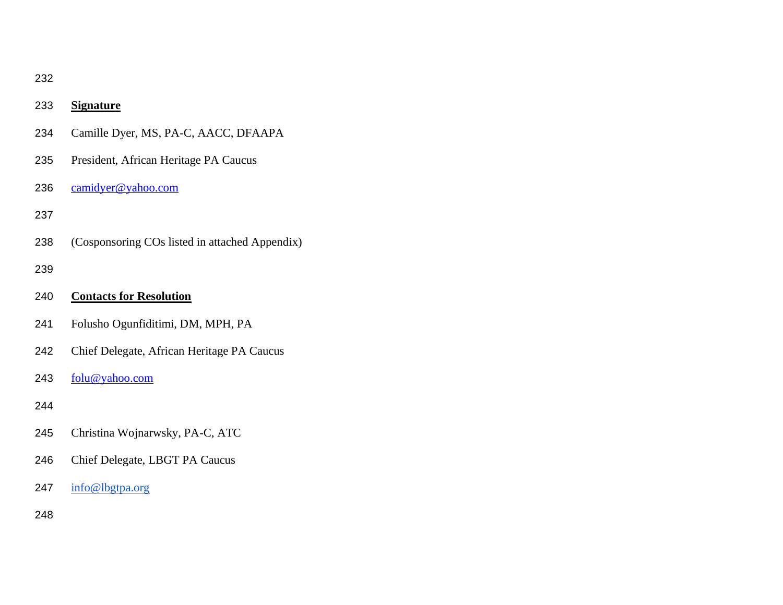| ×      |  |
|--------|--|
| ×<br>٩ |  |

| 233 | <b>Signature</b>                               |
|-----|------------------------------------------------|
| 234 | Camille Dyer, MS, PA-C, AACC, DFAAPA           |
| 235 | President, African Heritage PA Caucus          |
| 236 | $\overline{\text{camidyer@yahoo.com}}$         |
| 237 |                                                |
| 238 | (Cosponsoring COs listed in attached Appendix) |
| 239 |                                                |
| 240 | <b>Contacts for Resolution</b>                 |
| 241 | Folusho Ogunfiditimi, DM, MPH, PA              |
| 242 | Chief Delegate, African Heritage PA Caucus     |
| 243 | folu@yahoo.com                                 |
| 244 |                                                |
| 245 | Christina Wojnarwsky, PA-C, ATC                |
| 246 | Chief Delegate, LBGT PA Caucus                 |
| 247 | info@lbgtpa.org                                |
| 248 |                                                |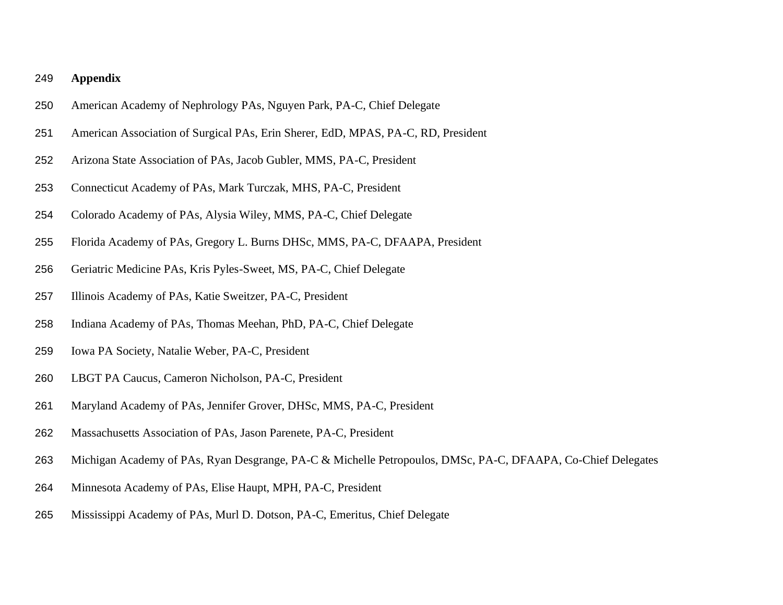## **Appendix**

- American Academy of Nephrology PAs, Nguyen Park, PA-C, Chief Delegate
- American Association of Surgical PAs, Erin Sherer, EdD, MPAS, PA-C, RD, President
- Arizona State Association of PAs, Jacob Gubler, MMS, PA-C, President
- Connecticut Academy of PAs, Mark Turczak, MHS, PA-C, President
- Colorado Academy of PAs, Alysia Wiley, MMS, PA-C, Chief Delegate
- Florida Academy of PAs, Gregory L. Burns DHSc, MMS, PA-C, DFAAPA, President
- Geriatric Medicine PAs, Kris Pyles-Sweet, MS, PA-C, Chief Delegate
- Illinois Academy of PAs, Katie Sweitzer, PA-C, President
- Indiana Academy of PAs, Thomas Meehan, PhD, PA-C, Chief Delegate
- Iowa PA Society, Natalie Weber, PA-C, President
- LBGT PA Caucus, Cameron Nicholson, PA-C, President
- Maryland Academy of PAs, Jennifer Grover, DHSc, MMS, PA-C, President
- Massachusetts Association of PAs, Jason Parenete, PA-C, President
- 263 Michigan Academy of PAs, Ryan Desgrange, PA-C & Michelle Petropoulos, DMSc, PA-C, DFAAPA, Co-Chief Delegates
- Minnesota Academy of PAs, Elise Haupt, MPH, PA-C, President
- Mississippi Academy of PAs, Murl D. Dotson, PA-C, Emeritus, Chief Delegate